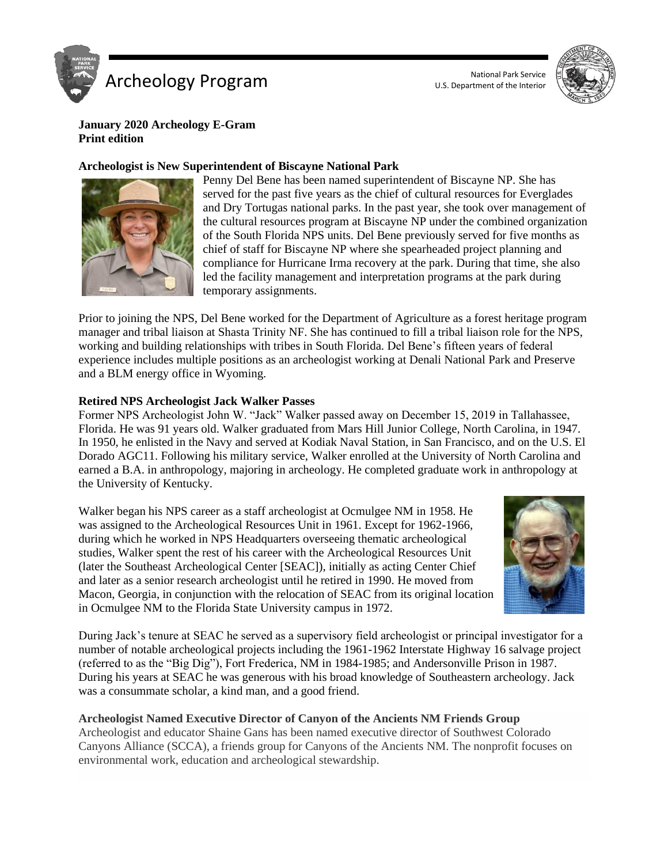



# **January 2020 Archeology E-Gram Print edition**

# **Archeologist is New Superintendent of Biscayne National Park**



Penny Del Bene has been named superintendent of Biscayne NP. She has served for the past five years as the chief of cultural resources for Everglades and Dry Tortugas national parks. In the past year, she took over management of the cultural resources program at Biscayne NP under the combined organization of the South Florida NPS units. Del Bene previously served for five months as chief of staff for Biscayne NP where she spearheaded project planning and compliance for Hurricane Irma recovery at the park. During that time, she also led the facility management and interpretation programs at the park during temporary assignments.

Prior to joining the NPS, Del Bene worked for the Department of Agriculture as a forest heritage program manager and tribal liaison at Shasta Trinity NF. She has continued to fill a tribal liaison role for the NPS, working and building relationships with tribes in South Florida. Del Bene's fifteen years of federal experience includes multiple positions as an archeologist working at Denali National Park and Preserve and a BLM energy office in Wyoming.

# **Retired NPS Archeologist Jack Walker Passes**

Former NPS Archeologist John W. "Jack" Walker passed away on December 15, 2019 in Tallahassee, Florida. He was 91 years old. Walker graduated from Mars Hill Junior College, North Carolina, in 1947. In 1950, he enlisted in the Navy and served at Kodiak Naval Station, in San Francisco, and on the U.S. El Dorado AGC11. Following his military service, Walker enrolled at the University of North Carolina and earned a B.A. in anthropology, majoring in archeology. He completed graduate work in anthropology at the University of Kentucky.

Walker began his NPS career as a staff archeologist at Ocmulgee NM in 1958. He was assigned to the Archeological Resources Unit in 1961. Except for 1962-1966, during which he worked in NPS Headquarters overseeing thematic archeological studies, Walker spent the rest of his career with the Archeological Resources Unit (later the Southeast Archeological Center [SEAC]), initially as acting Center Chief and later as a senior research archeologist until he retired in 1990. He moved from Macon, Georgia, in conjunction with the relocation of SEAC from its original location in Ocmulgee NM to the Florida State University campus in 1972.



During Jack's tenure at SEAC he served as a supervisory field archeologist or principal investigator for a number of notable archeological projects including the 1961-1962 Interstate Highway 16 salvage project (referred to as the "Big Dig"), Fort Frederica, NM in 1984-1985; and Andersonville Prison in 1987. During his years at SEAC he was generous with his broad knowledge of Southeastern archeology. Jack was a consummate scholar, a kind man, and a good friend.

# **Archeologist Named Executive Director of Canyon of the Ancients NM Friends Group**

Archeologist and educator Shaine Gans has been named executive director of Southwest Colorado Canyons Alliance (SCCA), a friends group for Canyons of the Ancients NM. The nonprofit focuses on environmental work, education and archeological stewardship.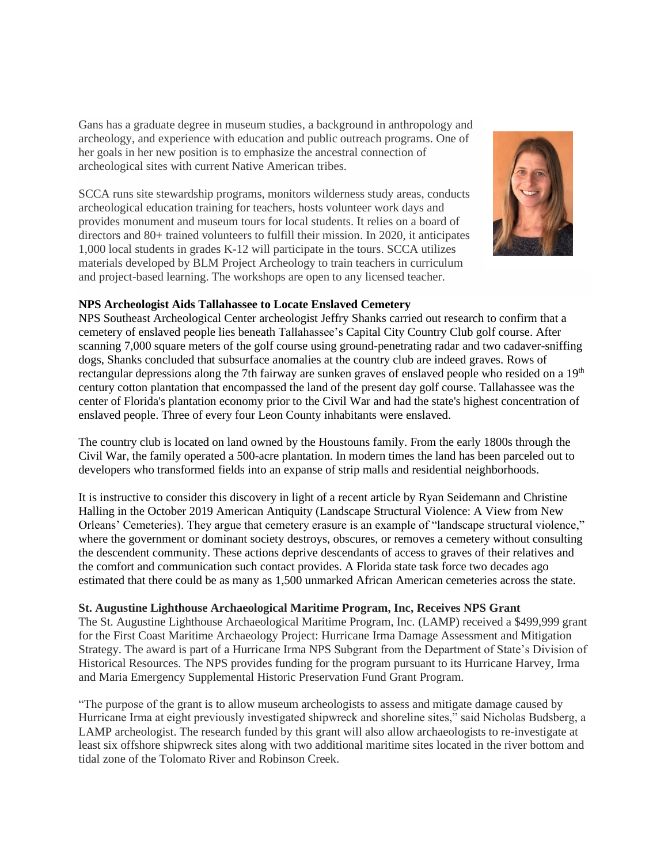Gans has a graduate degree in museum studies, a background in anthropology and archeology, and experience with education and public outreach programs. One of her goals in her new position is to emphasize the ancestral connection of archeological sites with current Native American tribes.

SCCA runs site stewardship programs, monitors wilderness study areas, conducts archeological education training for teachers, hosts volunteer work days and provides monument and museum tours for local students. It relies on a board of directors and 80+ trained volunteers to fulfill their mission. In 2020, it anticipates 1,000 local students in grades K-12 will participate in the tours. SCCA utilizes materials developed by BLM Project Archeology to train teachers in curriculum and project-based learning. The workshops are open to any licensed teacher.



# **NPS Archeologist Aids Tallahassee to Locate Enslaved Cemetery**

NPS Southeast Archeological Center archeologist Jeffry Shanks carried out research to confirm that a cemetery of enslaved people lies beneath Tallahassee's Capital City Country Club golf course. After scanning 7,000 square meters of the golf course using ground-penetrating radar and two cadaver-sniffing dogs, Shanks concluded that subsurface anomalies at the country club are indeed graves. Rows of rectangular depressions along the 7th fairway are sunken graves of enslaved people who resided on a 19<sup>th</sup> century cotton plantation that encompassed the land of the present day golf course. Tallahassee was the center of Florida's plantation economy prior to the Civil War and had the state's highest concentration of enslaved people. Three of every four Leon County inhabitants were enslaved.

The country club is located on land owned by the Houstouns family. From the early 1800s through the Civil War, the family operated a 500-acre plantation. In modern times the land has been parceled out to developers who transformed fields into an expanse of strip malls and residential neighborhoods.

It is instructive to consider this discovery in light of a recent article by Ryan Seidemann and Christine Halling in the October 2019 American Antiquity (Landscape Structural Violence: A View from New Orleans' Cemeteries). They argue that cemetery erasure is an example of "landscape structural violence," where the government or dominant society destroys, obscures, or removes a cemetery without consulting the descendent community. These actions deprive descendants of access to graves of their relatives and the comfort and communication such contact provides. A Florida state task force two decades ago estimated that there could be as many as 1,500 unmarked African American cemeteries across the state.

# **St. Augustine Lighthouse Archaeological Maritime Program, Inc, Receives NPS Grant**

The St. Augustine Lighthouse Archaeological Maritime Program, Inc. (LAMP) received a \$499,999 grant for the First Coast Maritime Archaeology Project: Hurricane Irma Damage Assessment and Mitigation Strategy. The award is part of a Hurricane Irma NPS Subgrant from the Department of State's Division of Historical Resources. The NPS provides funding for the program pursuant to its Hurricane Harvey, Irma and Maria Emergency Supplemental Historic Preservation Fund Grant Program.

"The purpose of the grant is to allow museum archeologists to assess and mitigate damage caused by Hurricane Irma at eight previously investigated shipwreck and shoreline sites," said Nicholas Budsberg, a LAMP archeologist. The research funded by this grant will also allow archaeologists to re-investigate at least six offshore shipwreck sites along with two additional maritime sites located in the river bottom and tidal zone of the Tolomato River and Robinson Creek.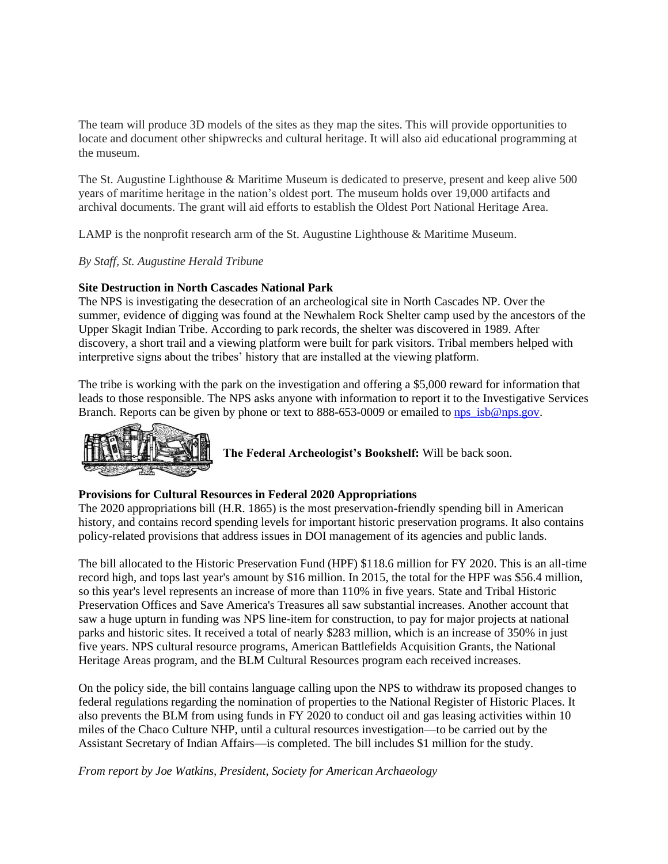The team will produce 3D models of the sites as they map the sites. This will provide opportunities to locate and document other shipwrecks and cultural heritage. It will also aid educational programming at the museum.

The St. Augustine Lighthouse & Maritime Museum is dedicated to preserve, present and keep alive 500 years of maritime heritage in the nation's oldest port. The museum holds over 19,000 artifacts and archival documents. The grant will aid efforts to establish the Oldest Port National Heritage Area.

LAMP is the nonprofit research arm of the St. Augustine Lighthouse & Maritime Museum.

*By Staff, St. Augustine Herald Tribune*

# **Site Destruction in North Cascades National Park**

The NPS is investigating the desecration of an archeological site in North Cascades NP. Over the summer, evidence of digging was found at the Newhalem Rock Shelter camp used by the ancestors of the Upper Skagit Indian Tribe. According to park records, the shelter was discovered in 1989. After discovery, a short trail and a viewing platform were built for park visitors. Tribal members helped with interpretive signs about the tribes' history that are installed at the viewing platform.

The tribe is working with the park on the investigation and offering a \$5,000 reward for information that leads to those responsible. The NPS asks anyone with information to report it to the Investigative Services Branch. Reports can be given by phone or text to 888-653-0009 or emailed to [nps\\_isb@nps.gov.](https://mail.google.com/mail/?view=cm&fs=1&tf=1&to=nps_isb@nps.gov)



**The Federal Archeologist's Bookshelf:** Will be back soon.

#### **Provisions for Cultural Resources in Federal 2020 Appropriations**

The 2020 appropriations bill (H.R. 1865) is the most preservation-friendly spending bill in American history, and contains record spending levels for important historic preservation programs. It also contains policy-related provisions that address issues in DOI management of its agencies and public lands.

The bill allocated to the Historic Preservation Fund (HPF) \$118.6 million for FY 2020. This is an all-time record high, and tops last year's amount by \$16 million. In 2015, the total for the HPF was \$56.4 million, so this year's level represents an increase of more than 110% in five years. State and Tribal Historic Preservation Offices and Save America's Treasures all saw substantial increases. Another account that saw a huge upturn in funding was NPS line-item for construction, to pay for major projects at national parks and historic sites. It received a total of nearly \$283 million, which is an increase of 350% in just five years. NPS cultural resource programs, American Battlefields Acquisition Grants, the National Heritage Areas program, and the BLM Cultural Resources program each received increases.

On the policy side, the bill contains language calling upon the NPS to withdraw its proposed changes to federal regulations regarding the nomination of properties to the National Register of Historic Places. It also prevents the BLM from using funds in FY 2020 to conduct oil and gas leasing activities within 10 miles of the Chaco Culture NHP, until a cultural resources investigation—to be carried out by the Assistant Secretary of Indian Affairs—is completed. The bill includes \$1 million for the study.

*From report by Joe Watkins, President, Society for American Archaeology*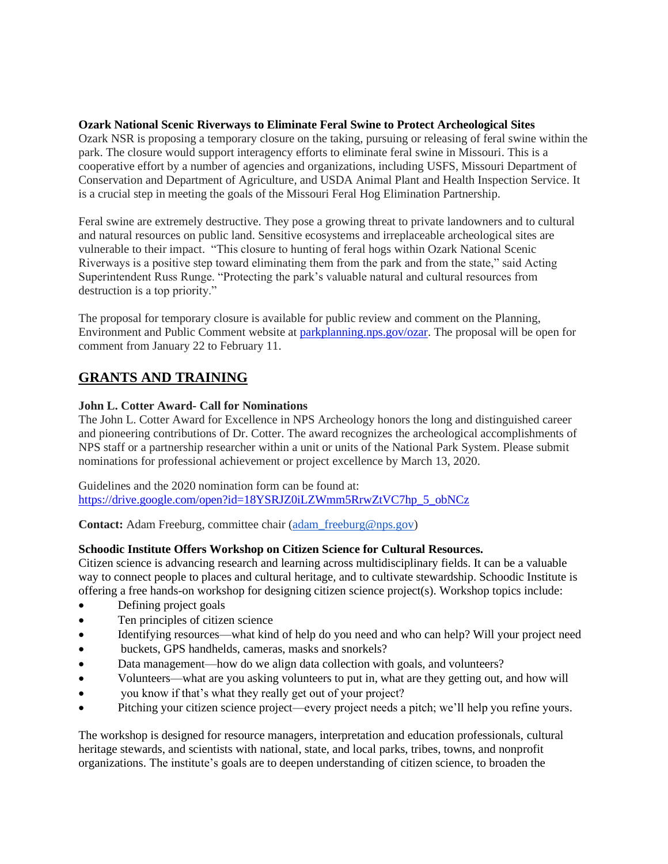# **Ozark National Scenic Riverways to Eliminate Feral Swine to Protect Archeological Sites**

Ozark NSR is proposing a temporary closure on the taking, pursuing or releasing of feral swine within the park. The closure would support interagency efforts to eliminate feral swine in Missouri. This is a cooperative effort by a number of agencies and organizations, including USFS, Missouri Department of Conservation and Department of Agriculture, and USDA Animal Plant and Health Inspection Service. It is a crucial step in meeting the goals of the Missouri Feral Hog Elimination Partnership.

Feral swine are extremely destructive. They pose a growing threat to private landowners and to cultural and natural resources on public land. Sensitive ecosystems and irreplaceable archeological sites are vulnerable to their impact. "This closure to hunting of feral hogs within Ozark National Scenic Riverways is a positive step toward eliminating them from the park and from the state," said Acting Superintendent Russ Runge. "Protecting the park's valuable natural and cultural resources from destruction is a top priority."

The proposal for temporary closure is available for public review and comment on the Planning, Environment and Public Comment website at [parkplanning.nps.gov/ozar.](http://parkplanning.nps.gov/ozar) The proposal will be open for comment from January 22 to February 11.

# **GRANTS AND TRAINING**

# **John L. Cotter Award- Call for Nominations**

The John L. Cotter Award for Excellence in NPS Archeology honors the long and distinguished career and pioneering contributions of Dr. Cotter. The award recognizes the archeological accomplishments of NPS staff or a partnership researcher within a unit or units of the National Park System. Please submit nominations for professional achievement or project excellence by March 13, 2020.

Guidelines and the 2020 nomination form can be found at: [https://drive.google.com/open?id=18YSRJZ0iLZWmm5RrwZtVC7hp\\_5\\_obNCz](https://drive.google.com/open?id=18YSRJZ0iLZWmm5RrwZtVC7hp_5_obNCz)

**Contact:** Adam Freeburg, committee chair (adam freeburg@nps.gov)

# **Schoodic Institute Offers Workshop on Citizen Science for Cultural Resources.**

Citizen science is advancing research and learning across multidisciplinary fields. It can be a valuable way to connect people to places and cultural heritage, and to cultivate stewardship. Schoodic Institute is offering a free hands-on workshop for designing citizen science project(s). Workshop topics include:

- Defining project goals
- Ten principles of citizen science
- Identifying resources—what kind of help do you need and who can help? Will your project need
- buckets, GPS handhelds, cameras, masks and snorkels?
- Data management—how do we align data collection with goals, and volunteers?
- Volunteers—what are you asking volunteers to put in, what are they getting out, and how will
- you know if that's what they really get out of your project?
- Pitching your citizen science project—every project needs a pitch; we'll help you refine yours.

The workshop is designed for resource managers, interpretation and education professionals, cultural heritage stewards, and scientists with national, state, and local parks, tribes, towns, and nonprofit organizations. The institute's goals are to deepen understanding of citizen science, to broaden the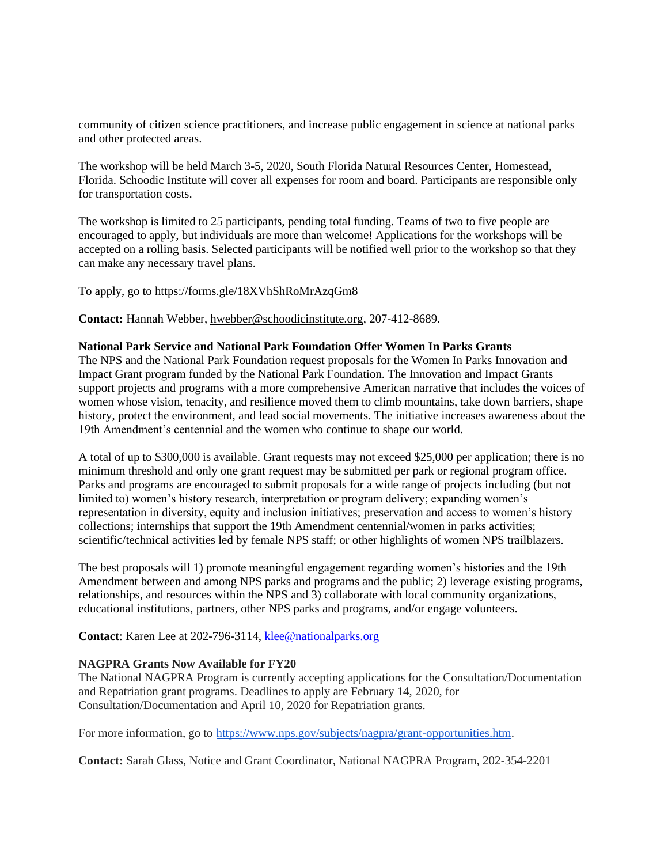community of citizen science practitioners, and increase public engagement in science at national parks and other protected areas.

The workshop will be held March 3-5, 2020, South Florida Natural Resources Center, Homestead, Florida. Schoodic Institute will cover all expenses for room and board. Participants are responsible only for transportation costs.

The workshop is limited to 25 participants, pending total funding. Teams of two to five people are encouraged to apply, but individuals are more than welcome! Applications for the workshops will be accepted on a rolling basis. Selected participants will be notified well prior to the workshop so that they can make any necessary travel plans.

#### To apply, go to<https://forms.gle/18XVhShRoMrAzqGm8>

**Contact:** Hannah Webber, [hwebber@schoodicinstitute.org,](mailto:hwebber@schoodicinstitute.org) 207-412-8689.

#### **National Park Service and National Park Foundation Offer Women In Parks Grants**

The NPS and the National Park Foundation request proposals for the Women In Parks Innovation and Impact Grant program funded by the National Park Foundation. The Innovation and Impact Grants support projects and programs with a more comprehensive American narrative that includes the voices of women whose vision, tenacity, and resilience moved them to climb mountains, take down barriers, shape history, protect the environment, and lead social movements. The initiative increases awareness about the 19th Amendment's centennial and the women who continue to shape our world.

A total of up to \$300,000 is available. Grant requests may not exceed \$25,000 per application; there is no minimum threshold and only one grant request may be submitted per park or regional program office. Parks and programs are encouraged to submit proposals for a wide range of projects including (but not limited to) women's history research, interpretation or program delivery; expanding women's representation in diversity, equity and inclusion initiatives; preservation and access to women's history collections; internships that support the 19th Amendment centennial/women in parks activities; scientific/technical activities led by female NPS staff; or other highlights of women NPS trailblazers.

The best proposals will 1) promote meaningful engagement regarding women's histories and the 19th Amendment between and among NPS parks and programs and the public; 2) leverage existing programs, relationships, and resources within the NPS and 3) collaborate with local community organizations, educational institutions, partners, other NPS parks and programs, and/or engage volunteers.

**Contact**: Karen Lee at 202-796-3114, [klee@nationalparks.org](mailto:klee@nationalparks.org)

# **NAGPRA Grants Now Available for FY20**

The National NAGPRA Program is currently accepting applications for the Consultation/Documentation and Repatriation grant programs. Deadlines to apply are February 14, 2020, for Consultation/Documentation and April 10, 2020 for Repatriation grants.

For more information, go to [https://www.nps.gov/subjects/nagpra/grant-opportunities.htm.](https://www.nps.gov/subjects/nagpra/grant-opportunities.htm)

**Contact:** Sarah Glass, Notice and Grant Coordinator, National NAGPRA Program, 202-354-2201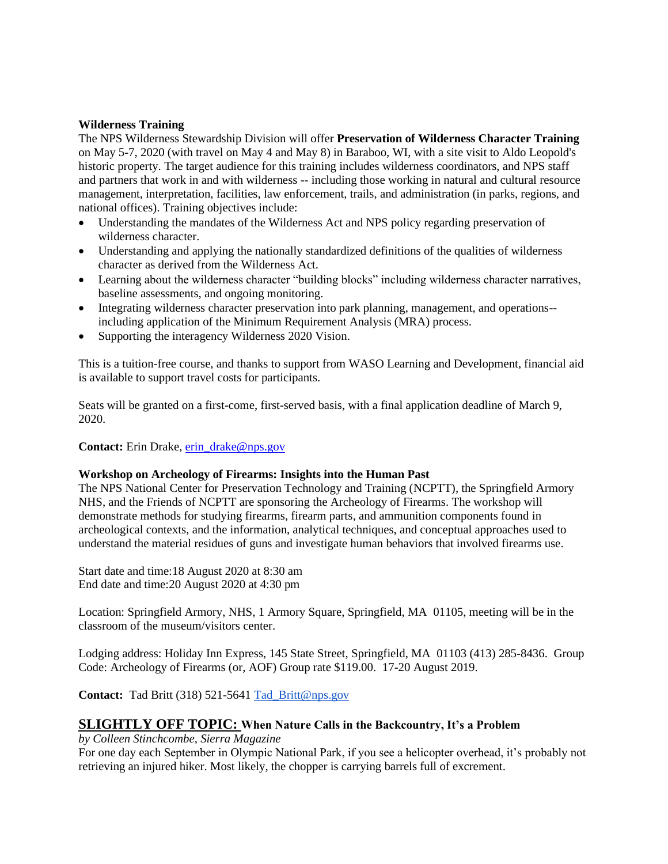#### **Wilderness Training**

The NPS Wilderness Stewardship Division will offer **Preservation of Wilderness Character Training**  on May 5-7, 2020 (with travel on May 4 and May 8) in Baraboo, WI, with a site visit to Aldo Leopold's historic property. The target audience for this training includes wilderness coordinators, and NPS staff and partners that work in and with wilderness -- including those working in natural and cultural resource management, interpretation, facilities, law enforcement, trails, and administration (in parks, regions, and national offices). Training objectives include:

- Understanding the mandates of the Wilderness Act and NPS policy regarding preservation of wilderness character.
- Understanding and applying the nationally standardized definitions of the qualities of wilderness character as derived from the Wilderness Act.
- Learning about the wilderness character "building blocks" including wilderness character narratives, baseline assessments, and ongoing monitoring.
- Integrating wilderness character preservation into park planning, management, and operations- including application of the Minimum Requirement Analysis (MRA) process.
- Supporting the interagency Wilderness 2020 Vision.

This is a tuition-free course, and thanks to support from WASO Learning and Development, financial aid is available to support travel costs for participants.

Seats will be granted on a first-come, first-served basis, with a final application deadline of March 9, 2020.

# **Contact:** Erin Drake, [erin\\_drake@nps.gov](mailto:erin_drake@nps.gov)

# **Workshop on Archeology of Firearms: Insights into the Human Past**

The NPS National Center for Preservation Technology and Training (NCPTT), the Springfield Armory NHS, and the Friends of NCPTT are sponsoring the Archeology of Firearms. The workshop will demonstrate methods for studying firearms, firearm parts, and ammunition components found in archeological contexts, and the information, analytical techniques, and conceptual approaches used to understand the material residues of guns and investigate human behaviors that involved firearms use.

Start date and time:18 August 2020 at 8:30 am End date and time:20 August 2020 at 4:30 pm

Location: Springfield Armory, NHS, 1 Armory Square, Springfield, MA 01105, meeting will be in the classroom of the museum/visitors center.

Lodging address: Holiday Inn Express, 145 State Street, Springfield, MA 01103 (413) 285-8436. Group Code: Archeology of Firearms (or, AOF) Group rate \$119.00. 17-20 August 2019.

**Contact:** Tad Britt (318) 521-5641 [Tad\\_Britt@nps.gov](http://r20.rs6.net/tn.jsp?f=00170xSefTfmpgTMKasOxJ4Vt_n7pdE6nNQaboelIWVImtr9K3UGNQLJms4MrLc39X6T9bR5WENhr4GJ4EN3fl1_nl81NUvZOYLwbIPgUmAXG7r8K7OE-LI9PyVwH4-aoc5Phol2ZTdv5qg2Z9VBjX8-_V37f1nrS4q32vJ8BMH0kpI9-iu1Jfm998CWcVTPdHgbdAnbi9HjSup8g63LcaqSskgMVfjOJxuBtcWWv4HLArcJquTslGGwDMg4dpoKXEa&c=vA4hii4_D--tex0gF8GAE1fgdX66tMMnyxhT7feuSOgCUVgM5K8N1w==&ch=kaZ93PVS6QPmzih4XlKTQh10cgvfCL1-Wb4cBTRjmwiZS1hDUuOL1A==)

# **SLIGHTLY OFF TOPIC: When Nature Calls in the Backcountry, It's a Problem**

*by Colleen Stinchcombe, Sierra Magazine*

For one day each September in Olympic National Park, if you see a helicopter overhead, it's probably not retrieving an injured hiker. Most likely, the chopper is carrying barrels full of excrement.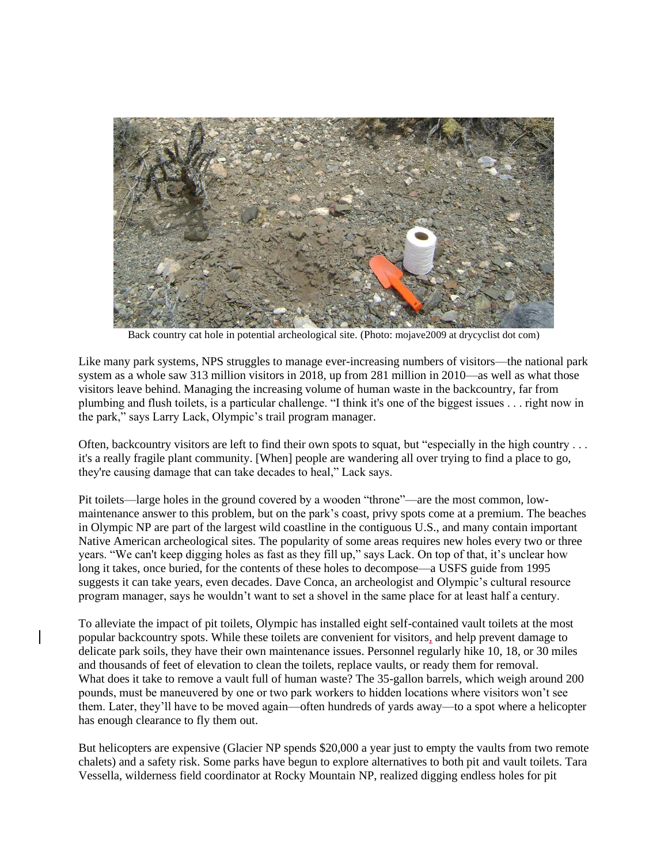

Back country cat hole in potential archeological site. (Photo: mojave2009 at drycyclist dot com)

Like many park systems, NPS struggles to manage ever-increasing numbers of visitors—the national park system as a whole saw 313 million visitors in 2018, up from 281 million in 2010—as well as what those visitors leave behind. Managing the increasing volume of human waste in the backcountry, far from plumbing and flush toilets, is a particular challenge. "I think it's one of the biggest issues . . . right now in the park," says Larry Lack, Olympic's trail program manager.

Often, backcountry visitors are left to find their own spots to squat, but "especially in the high country . . . it's a really fragile plant community. [When] people are wandering all over trying to find a place to go, they're causing damage that can take decades to heal," Lack says.

Pit toilets—large holes in the ground covered by a wooden "throne"—are the most common, lowmaintenance answer to this problem, but on the park's coast, privy spots come at a premium. The beaches in Olympic NP are part of the largest wild coastline in the contiguous U.S., and many contain important Native American archeological sites. The popularity of some areas requires new holes every two or three years. "We can't keep digging holes as fast as they fill up," says Lack. On top of that, it's unclear how long it takes, once buried, for the contents of these holes to decompose—a USFS guide from 1995 suggests it can take years, even decades. Dave Conca, an archeologist and Olympic's cultural resource program manager, says he wouldn't want to set a shovel in the same place for at least half a century.

To alleviate the impact of pit toilets, Olympic has installed eight self-contained vault toilets at the most popular backcountry spots. While these toilets are convenient for visitors, and help prevent damage to delicate park soils, they have their own maintenance issues. Personnel regularly hike 10, 18, or 30 miles and thousands of feet of elevation to clean the toilets, replace vaults, or ready them for removal. What does it take to remove a vault full of human waste? The 35-gallon barrels, which weigh around 200 pounds, must be maneuvered by one or two park workers to hidden locations where visitors won't see them. Later, they'll have to be moved again—often hundreds of yards away—to a spot where a helicopter has enough clearance to fly them out.

But helicopters are expensive (Glacier NP spends \$20,000 a year just to empty the vaults from two remote chalets) and a safety risk. Some parks have begun to explore alternatives to both pit and vault toilets. Tara Vessella, wilderness field coordinator at Rocky Mountain NP, realized digging endless holes for pit